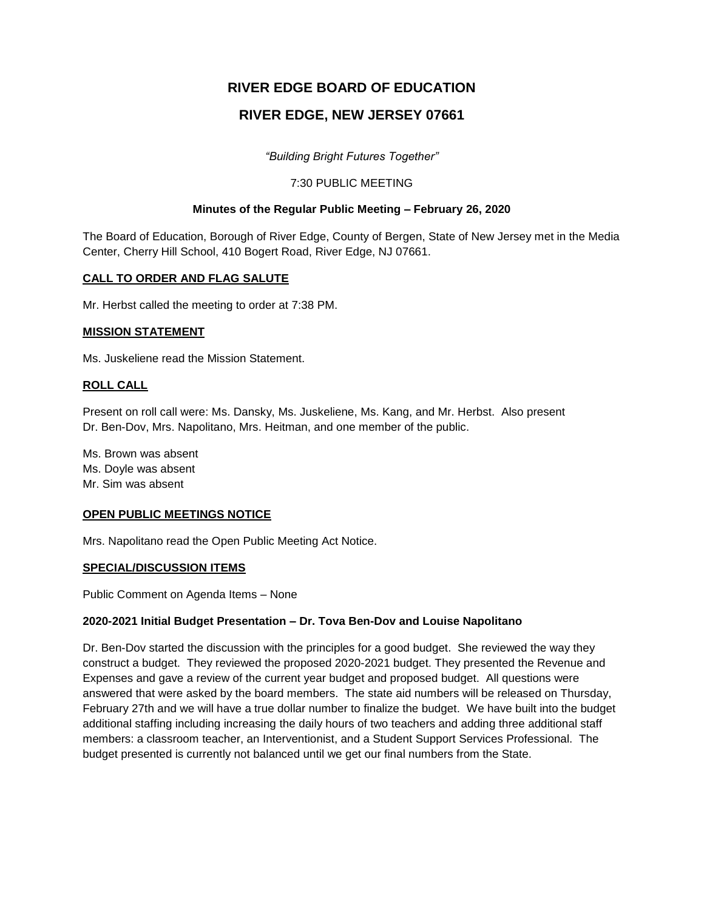# **RIVER EDGE BOARD OF EDUCATION**

# **RIVER EDGE, NEW JERSEY 07661**

*"Building Bright Futures Together"*

## 7:30 PUBLIC MEETING

# **Minutes of the Regular Public Meeting – February 26, 2020**

The Board of Education, Borough of River Edge, County of Bergen, State of New Jersey met in the Media Center, Cherry Hill School, 410 Bogert Road, River Edge, NJ 07661.

# **CALL TO ORDER AND FLAG SALUTE**

Mr. Herbst called the meeting to order at 7:38 PM.

## **MISSION STATEMENT**

Ms. Juskeliene read the Mission Statement.

## **ROLL CALL**

Present on roll call were: Ms. Dansky, Ms. Juskeliene, Ms. Kang, and Mr. Herbst. Also present Dr. Ben-Dov, Mrs. Napolitano, Mrs. Heitman, and one member of the public.

Ms. Brown was absent Ms. Doyle was absent Mr. Sim was absent

## **OPEN PUBLIC MEETINGS NOTICE**

Mrs. Napolitano read the Open Public Meeting Act Notice.

#### **SPECIAL/DISCUSSION ITEMS**

Public Comment on Agenda Items – None

## **2020-2021 Initial Budget Presentation – Dr. Tova Ben-Dov and Louise Napolitano**

Dr. Ben-Dov started the discussion with the principles for a good budget. She reviewed the way they construct a budget. They reviewed the proposed 2020-2021 budget. They presented the Revenue and Expenses and gave a review of the current year budget and proposed budget. All questions were answered that were asked by the board members. The state aid numbers will be released on Thursday, February 27th and we will have a true dollar number to finalize the budget. We have built into the budget additional staffing including increasing the daily hours of two teachers and adding three additional staff members: a classroom teacher, an Interventionist, and a Student Support Services Professional. The budget presented is currently not balanced until we get our final numbers from the State.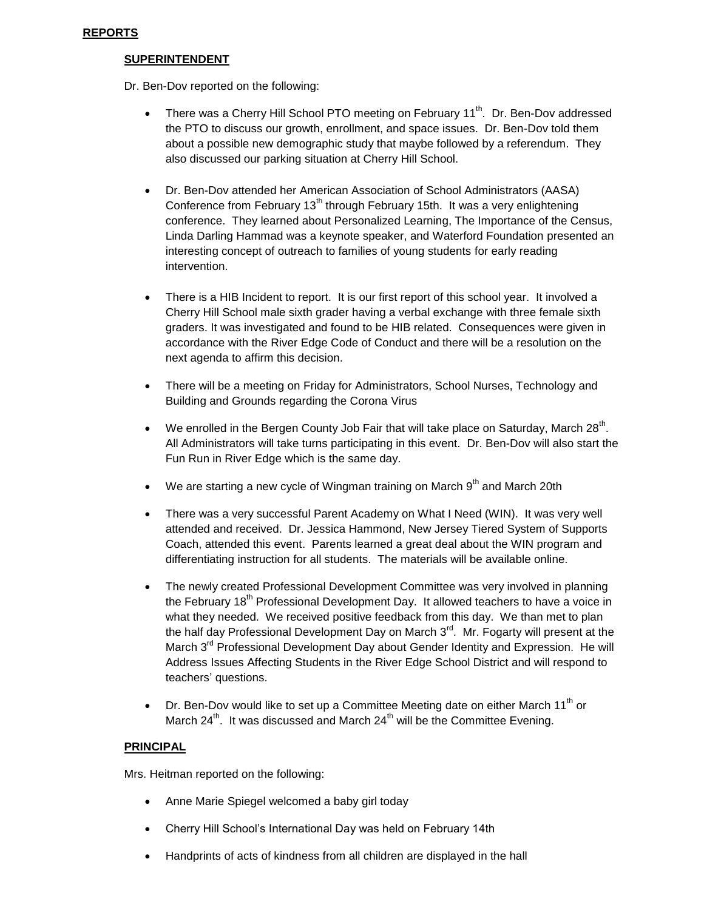#### **SUPERINTENDENT**

Dr. Ben-Dov reported on the following:

- There was a Cherry Hill School PTO meeting on February 11<sup>th</sup>. Dr. Ben-Dov addressed the PTO to discuss our growth, enrollment, and space issues. Dr. Ben-Dov told them about a possible new demographic study that maybe followed by a referendum. They also discussed our parking situation at Cherry Hill School.
- Dr. Ben-Dov attended her American Association of School Administrators (AASA) Conference from February  $13<sup>th</sup>$  through February 15th. It was a very enlightening conference. They learned about Personalized Learning, The Importance of the Census, Linda Darling Hammad was a keynote speaker, and Waterford Foundation presented an interesting concept of outreach to families of young students for early reading intervention.
- There is a HIB Incident to report. It is our first report of this school year. It involved a Cherry Hill School male sixth grader having a verbal exchange with three female sixth graders. It was investigated and found to be HIB related. Consequences were given in accordance with the River Edge Code of Conduct and there will be a resolution on the next agenda to affirm this decision.
- There will be a meeting on Friday for Administrators, School Nurses, Technology and Building and Grounds regarding the Corona Virus
- We enrolled in the Bergen County Job Fair that will take place on Saturday, March  $28^{th}$ . All Administrators will take turns participating in this event. Dr. Ben-Dov will also start the Fun Run in River Edge which is the same day.
- We are starting a new cycle of Wingman training on March 9<sup>th</sup> and March 20th
- There was a very successful Parent Academy on What I Need (WIN). It was very well attended and received. Dr. Jessica Hammond, New Jersey Tiered System of Supports Coach, attended this event. Parents learned a great deal about the WIN program and differentiating instruction for all students. The materials will be available online.
- The newly created Professional Development Committee was very involved in planning the February 18<sup>th</sup> Professional Development Day. It allowed teachers to have a voice in what they needed. We received positive feedback from this day. We than met to plan the half day Professional Development Day on March  $3<sup>rd</sup>$ . Mr. Fogarty will present at the March 3<sup>rd</sup> Professional Development Day about Gender Identity and Expression. He will Address Issues Affecting Students in the River Edge School District and will respond to teachers' questions.
- $\bullet$  Dr. Ben-Dov would like to set up a Committee Meeting date on either March 11<sup>th</sup> or March  $24^{th}$ . It was discussed and March  $24^{th}$  will be the Committee Evening.

## **PRINCIPAL**

Mrs. Heitman reported on the following:

- Anne Marie Spiegel welcomed a baby girl today
- Cherry Hill School's International Day was held on February 14th
- Handprints of acts of kindness from all children are displayed in the hall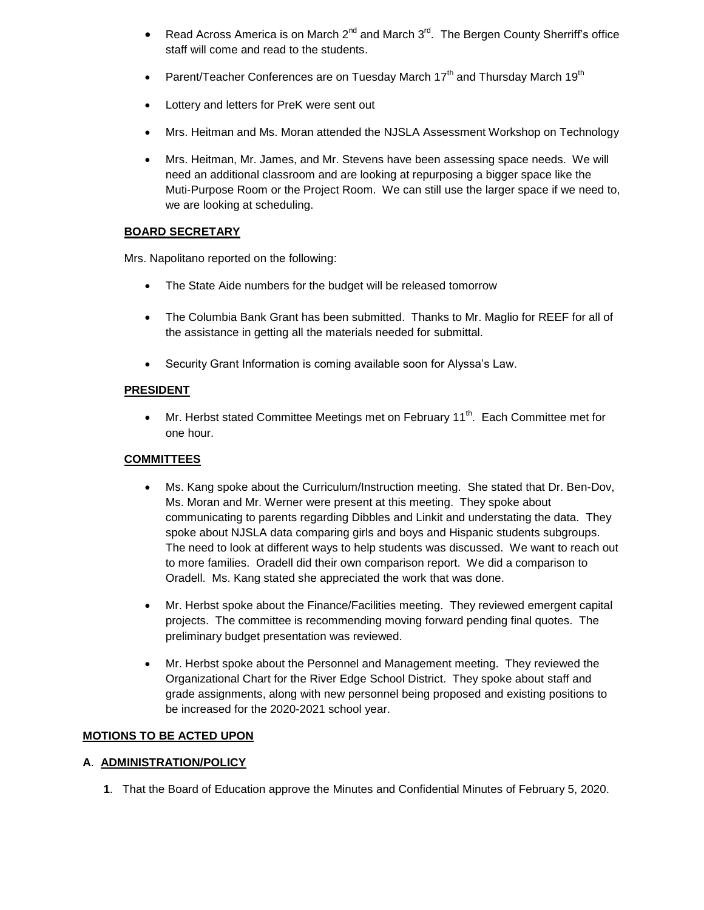- Read Across America is on March  $2^{nd}$  and March  $3^{rd}$ . The Bergen County Sherriff's office staff will come and read to the students.
- Parent/Teacher Conferences are on Tuesday March  $17<sup>th</sup>$  and Thursday March  $19<sup>th</sup>$
- Lottery and letters for PreK were sent out
- Mrs. Heitman and Ms. Moran attended the NJSLA Assessment Workshop on Technology
- Mrs. Heitman, Mr. James, and Mr. Stevens have been assessing space needs. We will need an additional classroom and are looking at repurposing a bigger space like the Muti-Purpose Room or the Project Room. We can still use the larger space if we need to, we are looking at scheduling.

# **BOARD SECRETARY**

Mrs. Napolitano reported on the following:

- The State Aide numbers for the budget will be released tomorrow
- The Columbia Bank Grant has been submitted. Thanks to Mr. Maglio for REEF for all of the assistance in getting all the materials needed for submittal.
- Security Grant Information is coming available soon for Alyssa's Law.

## **PRESIDENT**

• Mr. Herbst stated Committee Meetings met on February 11<sup>th</sup>. Each Committee met for one hour.

# **COMMITTEES**

- Ms. Kang spoke about the Curriculum/Instruction meeting. She stated that Dr. Ben-Dov, Ms. Moran and Mr. Werner were present at this meeting. They spoke about communicating to parents regarding Dibbles and Linkit and understating the data. They spoke about NJSLA data comparing girls and boys and Hispanic students subgroups. The need to look at different ways to help students was discussed. We want to reach out to more families. Oradell did their own comparison report. We did a comparison to Oradell. Ms. Kang stated she appreciated the work that was done.
- Mr. Herbst spoke about the Finance/Facilities meeting. They reviewed emergent capital projects. The committee is recommending moving forward pending final quotes. The preliminary budget presentation was reviewed.
- Mr. Herbst spoke about the Personnel and Management meeting. They reviewed the Organizational Chart for the River Edge School District. They spoke about staff and grade assignments, along with new personnel being proposed and existing positions to be increased for the 2020-2021 school year.

## **MOTIONS TO BE ACTED UPON**

## **A**. **ADMINISTRATION/POLICY**

**1**. That the Board of Education approve the Minutes and Confidential Minutes of February 5, 2020.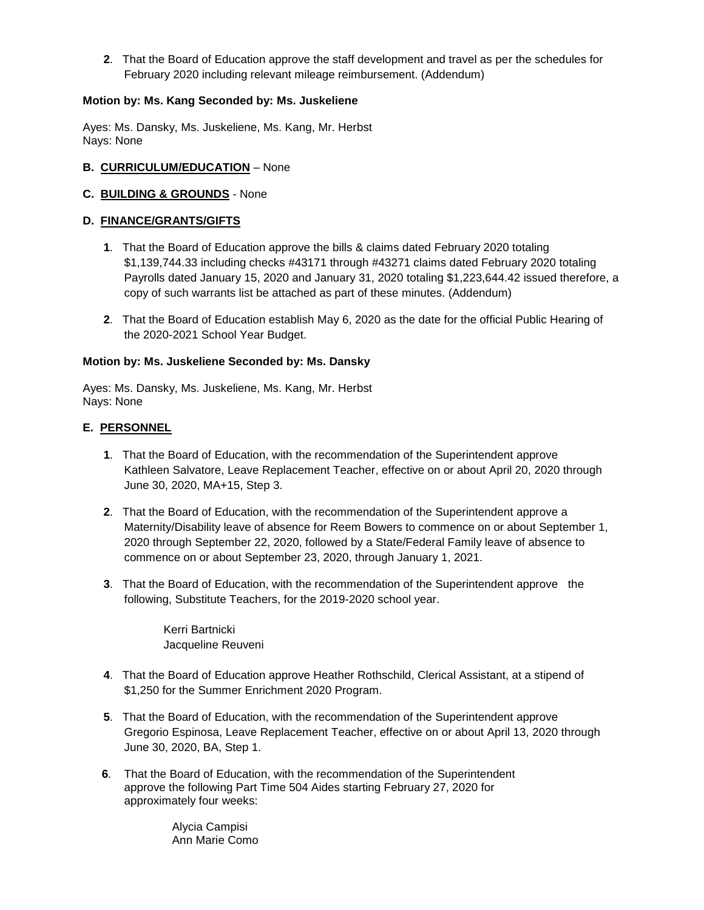**2**. That the Board of Education approve the staff development and travel as per the schedules for February 2020 including relevant mileage reimbursement. (Addendum)

#### **Motion by: Ms. Kang Seconded by: Ms. Juskeliene**

Ayes: Ms. Dansky, Ms. Juskeliene, Ms. Kang, Mr. Herbst Nays: None

#### **B. CURRICULUM/EDUCATION** – None

#### **C. BUILDING & GROUNDS** - None

#### **D. FINANCE/GRANTS/GIFTS**

- **1**. That the Board of Education approve the bills & claims dated February 2020 totaling \$1,139,744.33 including checks #43171 through #43271 claims dated February 2020 totaling Payrolls dated January 15, 2020 and January 31, 2020 totaling \$1,223,644.42 issued therefore, a copy of such warrants list be attached as part of these minutes. (Addendum)
- **2**. That the Board of Education establish May 6, 2020 as the date for the official Public Hearing of the 2020-2021 School Year Budget.

#### **Motion by: Ms. Juskeliene Seconded by: Ms. Dansky**

Ayes: Ms. Dansky, Ms. Juskeliene, Ms. Kang, Mr. Herbst Nays: None

#### **E. PERSONNEL**

- **1**. That the Board of Education, with the recommendation of the Superintendent approve Kathleen Salvatore, Leave Replacement Teacher, effective on or about April 20, 2020 through June 30, 2020, MA+15, Step 3.
- **2**. That the Board of Education, with the recommendation of the Superintendent approve a Maternity/Disability leave of absence for Reem Bowers to commence on or about September 1, 2020 through September 22, 2020, followed by a State/Federal Family leave of absence to commence on or about September 23, 2020, through January 1, 2021.
- **3**. That the Board of Education, with the recommendation of the Superintendent approve the following, Substitute Teachers, for the 2019-2020 school year.

Kerri Bartnicki Jacqueline Reuveni

- **4**. That the Board of Education approve Heather Rothschild, Clerical Assistant, at a stipend of \$1,250 for the Summer Enrichment 2020 Program.
- **5**. That the Board of Education, with the recommendation of the Superintendent approve Gregorio Espinosa, Leave Replacement Teacher, effective on or about April 13, 2020 through June 30, 2020, BA, Step 1.
- **6**. That the Board of Education, with the recommendation of the Superintendent approve the following Part Time 504 Aides starting February 27, 2020 for approximately four weeks:

 Alycia Campisi Ann Marie Como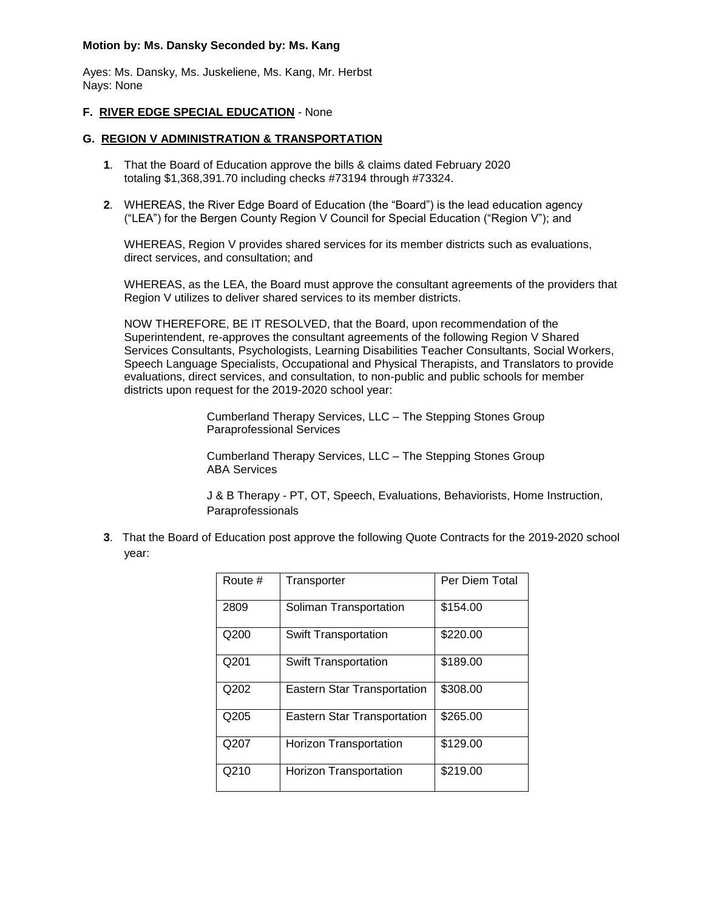#### **Motion by: Ms. Dansky Seconded by: Ms. Kang**

Ayes: Ms. Dansky, Ms. Juskeliene, Ms. Kang, Mr. Herbst Nays: None

#### **F. RIVER EDGE SPECIAL EDUCATION** - None

#### **G. REGION V ADMINISTRATION & TRANSPORTATION**

- **1**. That the Board of Education approve the bills & claims dated February 2020 totaling \$1,368,391.70 including checks #73194 through #73324.
- **2**. WHEREAS, the River Edge Board of Education (the "Board") is the lead education agency ("LEA") for the Bergen County Region V Council for Special Education ("Region V"); and

WHEREAS, Region V provides shared services for its member districts such as evaluations, direct services, and consultation; and

WHEREAS, as the LEA, the Board must approve the consultant agreements of the providers that Region V utilizes to deliver shared services to its member districts.

NOW THEREFORE, BE IT RESOLVED, that the Board, upon recommendation of the Superintendent, re-approves the consultant agreements of the following Region V Shared Services Consultants, Psychologists, Learning Disabilities Teacher Consultants, Social Workers, Speech Language Specialists, Occupational and Physical Therapists, and Translators to provide evaluations, direct services, and consultation, to non-public and public schools for member districts upon request for the 2019-2020 school year:

> Cumberland Therapy Services, LLC – The Stepping Stones Group Paraprofessional Services

> Cumberland Therapy Services, LLC – The Stepping Stones Group ABA Services

J & B Therapy - PT, OT, Speech, Evaluations, Behaviorists, Home Instruction, Paraprofessionals

**3**. That the Board of Education post approve the following Quote Contracts for the 2019-2020 school year:

| Route # | Transporter                        | Per Diem Total |
|---------|------------------------------------|----------------|
| 2809    | Soliman Transportation             | \$154.00       |
| Q200    | <b>Swift Transportation</b>        | \$220.00       |
| Q201    | <b>Swift Transportation</b>        | \$189.00       |
| Q202    | <b>Eastern Star Transportation</b> | \$308.00       |
| Q205    | <b>Eastern Star Transportation</b> | \$265.00       |
| Q207    | <b>Horizon Transportation</b>      | \$129.00       |
| Q210    | <b>Horizon Transportation</b>      | \$219.00       |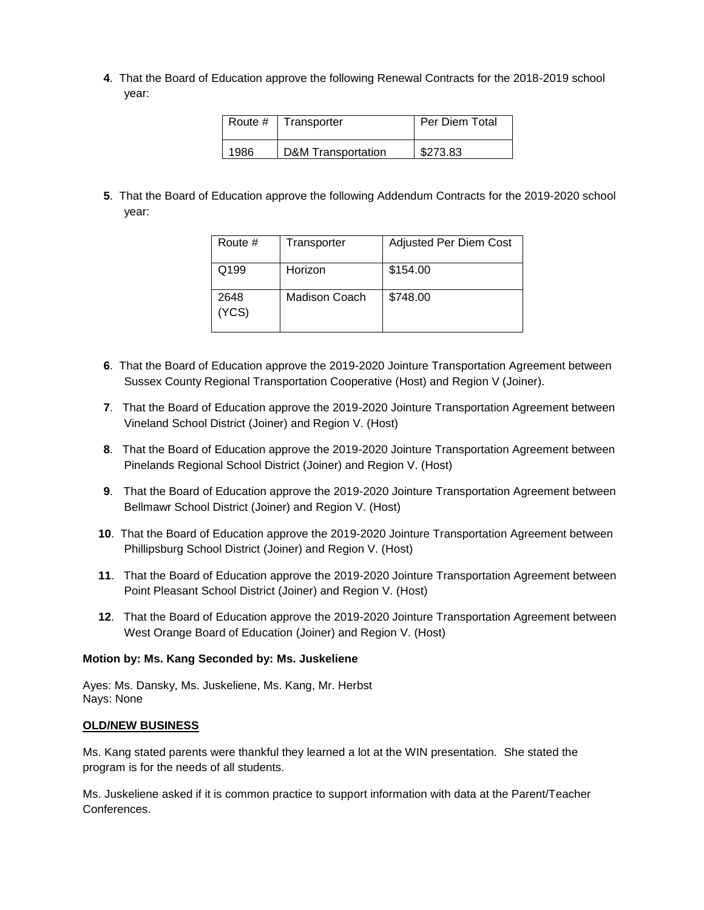**4**. That the Board of Education approve the following Renewal Contracts for the 2018-2019 school year:

| Route # | Transporter                   | Per Diem Total |
|---------|-------------------------------|----------------|
| 1986    | <b>D&amp;M</b> Transportation | \$273.83       |

**5**. That the Board of Education approve the following Addendum Contracts for the 2019-2020 school year:

| Route #       | Transporter   | <b>Adjusted Per Diem Cost</b> |
|---------------|---------------|-------------------------------|
| Q199          | Horizon       | \$154.00                      |
| 2648<br>(YCS) | Madison Coach | \$748.00                      |

- **6**. That the Board of Education approve the 2019-2020 Jointure Transportation Agreement between Sussex County Regional Transportation Cooperative (Host) and Region V (Joiner).
- **7**. That the Board of Education approve the 2019-2020 Jointure Transportation Agreement between Vineland School District (Joiner) and Region V. (Host)
- **8**. That the Board of Education approve the 2019-2020 Jointure Transportation Agreement between Pinelands Regional School District (Joiner) and Region V. (Host)
- **9**. That the Board of Education approve the 2019-2020 Jointure Transportation Agreement between Bellmawr School District (Joiner) and Region V. (Host)
- **10**. That the Board of Education approve the 2019-2020 Jointure Transportation Agreement between Phillipsburg School District (Joiner) and Region V. (Host)
- **11**. That the Board of Education approve the 2019-2020 Jointure Transportation Agreement between Point Pleasant School District (Joiner) and Region V. (Host)
- **12**. That the Board of Education approve the 2019-2020 Jointure Transportation Agreement between West Orange Board of Education (Joiner) and Region V. (Host)

#### **Motion by: Ms. Kang Seconded by: Ms. Juskeliene**

Ayes: Ms. Dansky, Ms. Juskeliene, Ms. Kang, Mr. Herbst Nays: None

#### **OLD/NEW BUSINESS**

Ms. Kang stated parents were thankful they learned a lot at the WIN presentation. She stated the program is for the needs of all students.

Ms. Juskeliene asked if it is common practice to support information with data at the Parent/Teacher Conferences.